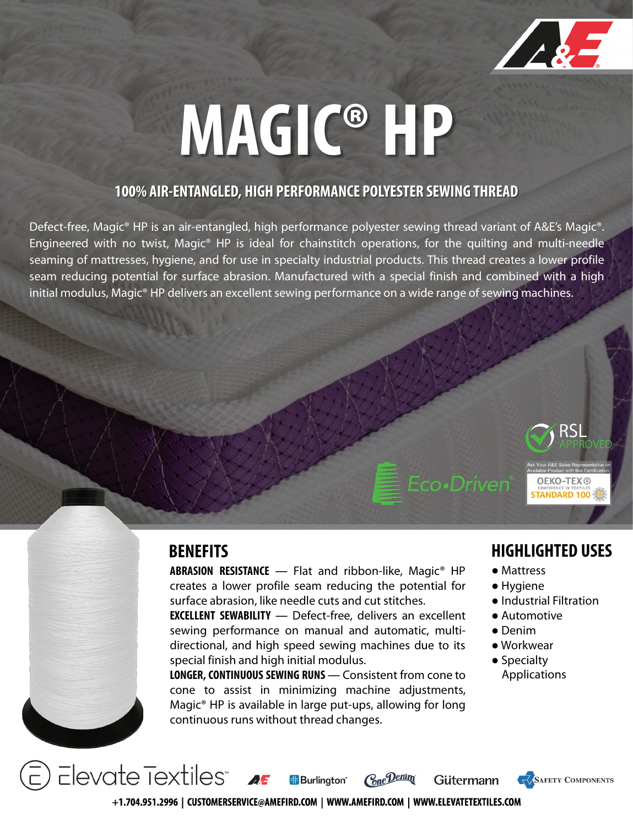

# **MAGIC® HP**

### **100% AIR-ENTANGLED, HIGH PERFORMANCE POLYESTER SEWING THREAD**

Defect-free, Magic® HP is an air-entangled, high performance polyester sewing thread variant of A&E's Magic®. Engineered with no twist, Magic® HP is ideal for chainstitch operations, for the quilting and multi-needle seaming of mattresses, hygiene, and for use in specialty industrial products. This thread creates a lower profile seam reducing potential for surface abrasion. Manufactured with a special finish and combined with a high initial modulus, Magic® HP delivers an excellent sewing performance on a wide range of sewing machines.

**ABRASION RESISTANCE** ― Flat and ribbon-like, Magic® HP creates a lower profile seam reducing the potential for surface abrasion, like needle cuts and cut stitches.

**EXCELLENT SEWABILITY** ― Defect-free, delivers an excellent sewing performance on manual and automatic, multidirectional, and high speed sewing machines due to its special finish and high initial modulus.

**LONGER, CONTINUOUS SEWING RUNS** — Consistent from cone to cone to assist in minimizing machine adjustments, Magic® HP is available in large put-ups, allowing for long continuous runs without thread changes.

**Burlinaton**<sup>®</sup>

### **BENEFITS HIGHLIGHTED USES**

**OEKO-TEX®** TANDARD 100

● Mattress

Eco•Driven®

- Hygiene
- Industrial Filtration

**SAFETY COMPONENTS** 

- Automotive
- Denim
- Workwear
- Specialty Applications